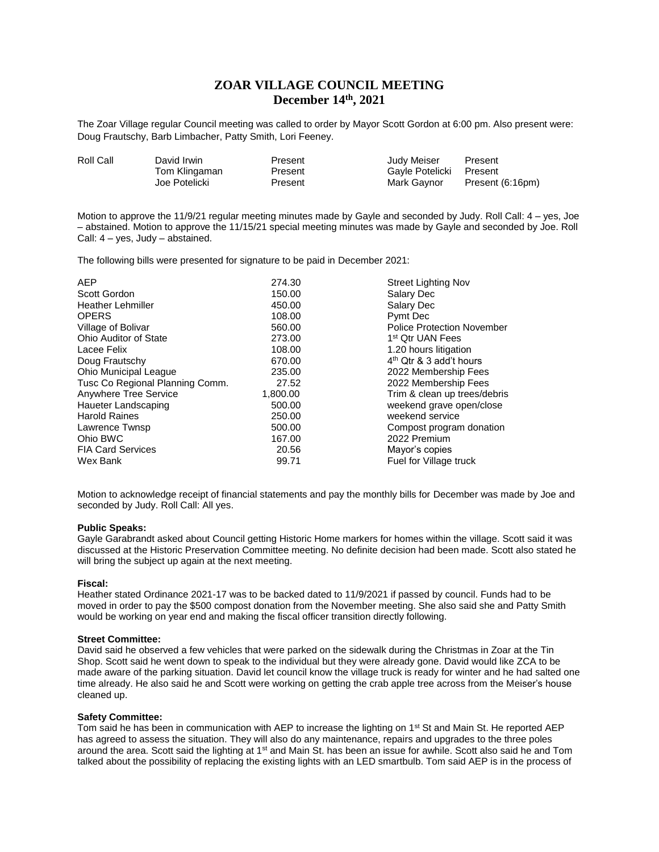# **ZOAR VILLAGE COUNCIL MEETING December 14th, 2021**

The Zoar Village regular Council meeting was called to order by Mayor Scott Gordon at 6:00 pm. Also present were: Doug Frautschy, Barb Limbacher, Patty Smith, Lori Feeney.

| Roll Call | David Irwin   | Present | Judy Meiser     | Present          |
|-----------|---------------|---------|-----------------|------------------|
|           | Tom Klingaman | Present | Gavle Potelicki | Present          |
|           | Joe Potelicki | Present | Mark Gavnor     | Present (6:16pm) |
|           |               |         |                 |                  |

Motion to approve the 11/9/21 regular meeting minutes made by Gayle and seconded by Judy. Roll Call: 4 – yes, Joe – abstained. Motion to approve the 11/15/21 special meeting minutes was made by Gayle and seconded by Joe. Roll Call: 4 – yes, Judy – abstained.

The following bills were presented for signature to be paid in December 2021:

| <b>AEP</b>                      | 274.30   | <b>Street Lighting Nov</b>        |
|---------------------------------|----------|-----------------------------------|
| Scott Gordon                    | 150.00   | Salary Dec                        |
| <b>Heather Lehmiller</b>        | 450.00   | Salary Dec                        |
| <b>OPERS</b>                    | 108.00   | Pymt Dec                          |
| Village of Bolivar              | 560.00   | <b>Police Protection November</b> |
| Ohio Auditor of State           | 273.00   | 1 <sup>st</sup> Qtr UAN Fees      |
| Lacee Felix                     | 108.00   | 1.20 hours litigation             |
| Doug Frautschy                  | 670.00   | $4th$ Qtr & 3 add't hours         |
| <b>Ohio Municipal League</b>    | 235.00   | 2022 Membership Fees              |
| Tusc Co Regional Planning Comm. | 27.52    | 2022 Membership Fees              |
| Anywhere Tree Service           | 1,800.00 | Trim & clean up trees/debris      |
| Haueter Landscaping             | 500.00   | weekend grave open/close          |
| <b>Harold Raines</b>            | 250.00   | weekend service                   |
| Lawrence Twnsp                  | 500.00   | Compost program donation          |
| Ohio BWC                        | 167.00   | 2022 Premium                      |
| <b>FIA Card Services</b>        | 20.56    | Mayor's copies                    |
| Wex Bank                        | 99.71    | Fuel for Village truck            |
|                                 |          |                                   |

Motion to acknowledge receipt of financial statements and pay the monthly bills for December was made by Joe and seconded by Judy. Roll Call: All yes.

#### **Public Speaks:**

Gayle Garabrandt asked about Council getting Historic Home markers for homes within the village. Scott said it was discussed at the Historic Preservation Committee meeting. No definite decision had been made. Scott also stated he will bring the subject up again at the next meeting.

## **Fiscal:**

Heather stated Ordinance 2021-17 was to be backed dated to 11/9/2021 if passed by council. Funds had to be moved in order to pay the \$500 compost donation from the November meeting. She also said she and Patty Smith would be working on year end and making the fiscal officer transition directly following.

#### **Street Committee:**

David said he observed a few vehicles that were parked on the sidewalk during the Christmas in Zoar at the Tin Shop. Scott said he went down to speak to the individual but they were already gone. David would like ZCA to be made aware of the parking situation. David let council know the village truck is ready for winter and he had salted one time already. He also said he and Scott were working on getting the crab apple tree across from the Meiser's house cleaned up.

#### **Safety Committee:**

Tom said he has been in communication with AEP to increase the lighting on 1<sup>st</sup> St and Main St. He reported AEP has agreed to assess the situation. They will also do any maintenance, repairs and upgrades to the three poles around the area. Scott said the lighting at 1<sup>st</sup> and Main St. has been an issue for awhile. Scott also said he and Tom talked about the possibility of replacing the existing lights with an LED smartbulb. Tom said AEP is in the process of